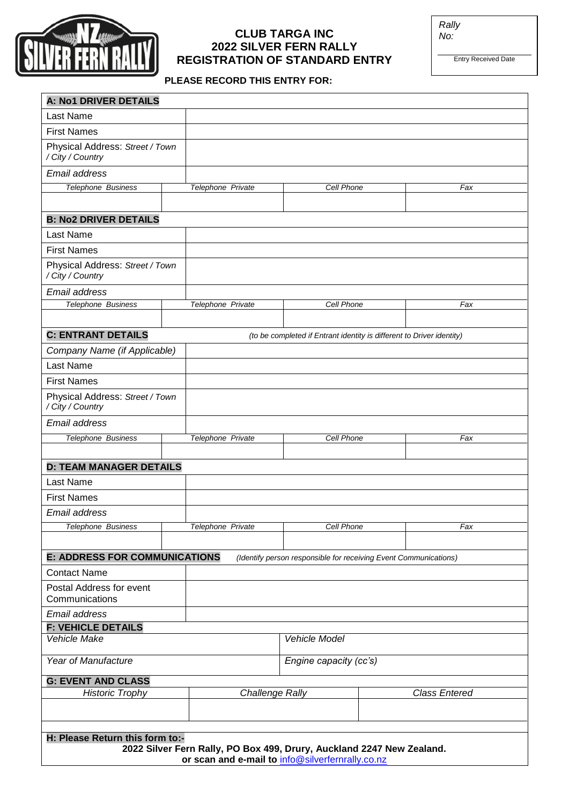

# **CLUB TARGA INC 2022 SILVER FERN RALLY REGISTRATION OF STANDARD ENTRY**

*Rally No:*

Entry Received Date

## **PLEASE RECORD THIS ENTRY FOR:**

| <b>A: No1 DRIVER DETAILS</b>                        |                                                                       |                        |                                                                       |                      |
|-----------------------------------------------------|-----------------------------------------------------------------------|------------------------|-----------------------------------------------------------------------|----------------------|
| Last Name                                           |                                                                       |                        |                                                                       |                      |
| <b>First Names</b>                                  |                                                                       |                        |                                                                       |                      |
| Physical Address: Street / Town<br>/ City / Country |                                                                       |                        |                                                                       |                      |
| Email address                                       |                                                                       |                        |                                                                       |                      |
| <b>Telephone Business</b>                           | Telephone Private                                                     |                        | <b>Cell Phone</b>                                                     | Fax                  |
|                                                     |                                                                       |                        |                                                                       |                      |
| <b>B: No2 DRIVER DETAILS</b>                        |                                                                       |                        |                                                                       |                      |
| Last Name                                           |                                                                       |                        |                                                                       |                      |
| <b>First Names</b>                                  |                                                                       |                        |                                                                       |                      |
| Physical Address: Street / Town<br>/ City / Country |                                                                       |                        |                                                                       |                      |
| Email address                                       |                                                                       |                        |                                                                       |                      |
| <b>Telephone Business</b>                           | Telephone Private                                                     |                        | Cell Phone                                                            | Fax                  |
|                                                     |                                                                       |                        |                                                                       |                      |
| <b>C: ENTRANT DETAILS</b>                           |                                                                       |                        | (to be completed if Entrant identity is different to Driver identity) |                      |
| Company Name (if Applicable)                        |                                                                       |                        |                                                                       |                      |
| <b>Last Name</b>                                    |                                                                       |                        |                                                                       |                      |
| <b>First Names</b>                                  |                                                                       |                        |                                                                       |                      |
| Physical Address: Street / Town<br>/ City / Country |                                                                       |                        |                                                                       |                      |
| Email address                                       |                                                                       |                        |                                                                       |                      |
| Telephone Business                                  | Telephone Private                                                     |                        | <b>Cell Phone</b>                                                     | Fax                  |
|                                                     |                                                                       |                        |                                                                       |                      |
| <b>D: TEAM MANAGER DETAILS</b>                      |                                                                       |                        |                                                                       |                      |
| Last Name                                           |                                                                       |                        |                                                                       |                      |
| <b>First Names</b>                                  |                                                                       |                        |                                                                       |                      |
| Email address                                       |                                                                       |                        |                                                                       |                      |
| Telephone Business                                  | Telephone Private                                                     |                        | Cell Phone                                                            | Fax                  |
|                                                     |                                                                       |                        |                                                                       |                      |
| <b>E: ADDRESS FOR COMMUNICATIONS</b>                |                                                                       |                        | (Identify person responsible for receiving Event Communications)      |                      |
| <b>Contact Name</b>                                 |                                                                       |                        |                                                                       |                      |
| Postal Address for event<br>Communications          |                                                                       |                        |                                                                       |                      |
| Email address                                       |                                                                       |                        |                                                                       |                      |
| <b>F: VEHICLE DETAILS</b><br>Vehicle Make           |                                                                       | Vehicle Model          |                                                                       |                      |
|                                                     |                                                                       |                        |                                                                       |                      |
| Year of Manufacture                                 |                                                                       | Engine capacity (cc's) |                                                                       |                      |
| <b>G: EVENT AND CLASS</b>                           |                                                                       |                        |                                                                       | <b>Class Entered</b> |
| <b>Historic Trophy</b>                              |                                                                       | <b>Challenge Rally</b> |                                                                       |                      |
|                                                     |                                                                       |                        |                                                                       |                      |
|                                                     |                                                                       |                        |                                                                       |                      |
| H: Please Return this form to:-                     | 2022 Silver Fern Rally, PO Box 499, Drury, Auckland 2247 New Zealand. |                        |                                                                       |                      |
|                                                     | or scan and e-mail to info@silverfernrally.co.nz                      |                        |                                                                       |                      |